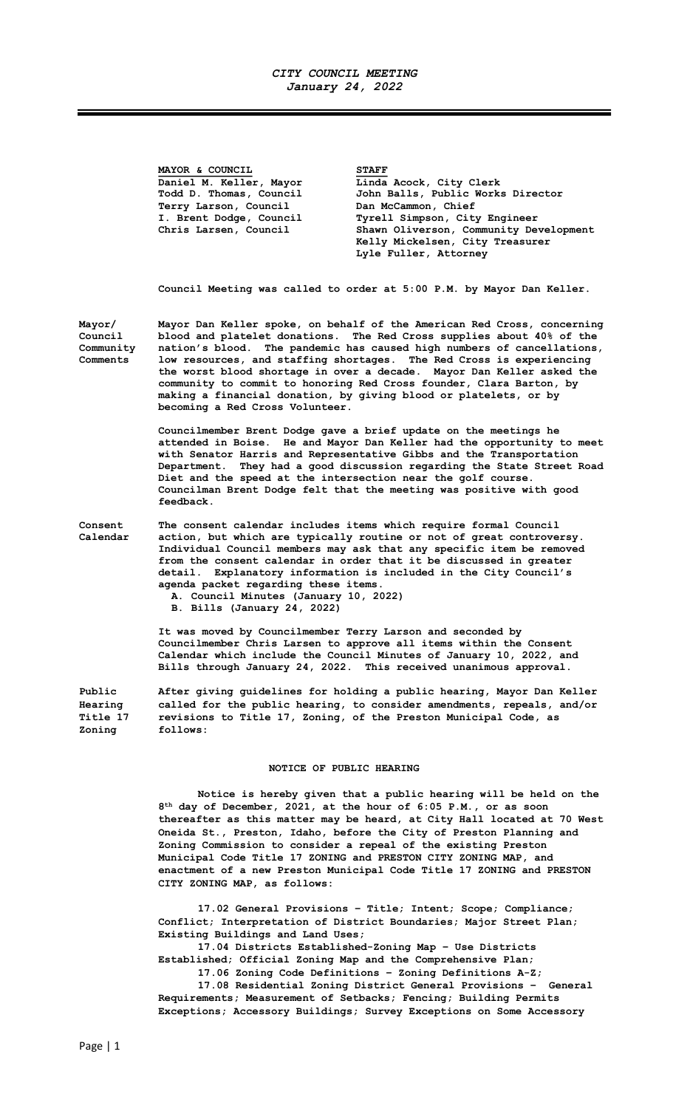## CITY COUNCIL MEETING January 24, 2022

MAYOR & COUNCIL STAFF Daniel M. Keller, Mayor Linda Acock, City Clerk Todd D. Thomas, Council John Balls, Public Works Director Terry Larson, Council Dan McCammon, Chief I. Brent Dodge, Council Tyrell Simpson, City Engineer<br>Chris Larsen, Council Shawn Oliverson, Community De Chris Larsen, Council Shawn Oliverson, Community Development Kelly Mickelsen, City Treasurer Lyle Fuller, Attorney Council Meeting was called to order at 5:00 P.M. by Mayor Dan Keller. Mayor/ Mayor Dan Keller spoke, on behalf of the American Red Cross, concerning Council blood and platelet donations. The Red Cross supplies about 40% of the<br>Community sation's blood. The pandemic has caused high numbers of cancellations, Community nation's blood. The pandemic has caused high numbers of cancellations, low resources, and staffing shortages. The Red Cross is experiencing the worst blood shortage in over a decade. Mayor Dan Keller asked the community to commit to honoring Red Cross founder, Clara Barton, by making a financial donation, by giving blood or platelets, or by becoming a Red Cross Volunteer. Councilmember Brent Dodge gave a brief update on the meetings he attended in Boise. He and Mayor Dan Keller had the opportunity to meet with Senator Harris and Representative Gibbs and the Transportation Department. They had a good discussion regarding the State Street Road Diet and the speed at the intersection near the golf course. Councilman Brent Dodge felt that the meeting was positive with good feedback. Consent The consent calendar includes items which require formal Council Calendar action, but which are typically routine or not of great controversy. Individual Council members may ask that any specific item be removed from the consent calendar in order that it be discussed in greater detail. Explanatory information is included in the City Council's agenda packet regarding these items. A. Council Minutes (January 10, 2022) B. Bills (January 24, 2022) It was moved by Councilmember Terry Larson and seconded by Councilmember Chris Larsen to approve all items within the Consent Calendar which include the Council Minutes of January 10, 2022, and Bills through January 24, 2022. This received unanimous approval. Public After giving guidelines for holding a public hearing, Mayor Dan Keller Hearing called for the public hearing, to consider amendments, repeals, and/or Title 17 revisions to Title 17, Zoning, of the Preston Municipal Code, as Zoning follows:

## NOTICE OF PUBLIC HEARING

Notice is hereby given that a public hearing will be held on the 8 th day of December, 2021, at the hour of 6:05 P.M., or as soon thereafter as this matter may be heard, at City Hall located at 70 West Oneida St., Preston, Idaho, before the City of Preston Planning and Zoning Commission to consider a repeal of the existing Preston Municipal Code Title 17 ZONING and PRESTON CITY ZONING MAP, and enactment of a new Preston Municipal Code Title 17 ZONING and PRESTON CITY ZONING MAP, as follows:

17.02 General Provisions – Title; Intent; Scope; Compliance; Conflict; Interpretation of District Boundaries; Major Street Plan; Existing Buildings and Land Uses;

17.04 Districts Established-Zoning Map – Use Districts Established; Official Zoning Map and the Comprehensive Plan;

17.06 Zoning Code Definitions – Zoning Definitions A-Z;

17.08 Residential Zoning District General Provisions – General Requirements; Measurement of Setbacks; Fencing; Building Permits Exceptions; Accessory Buildings; Survey Exceptions on Some Accessory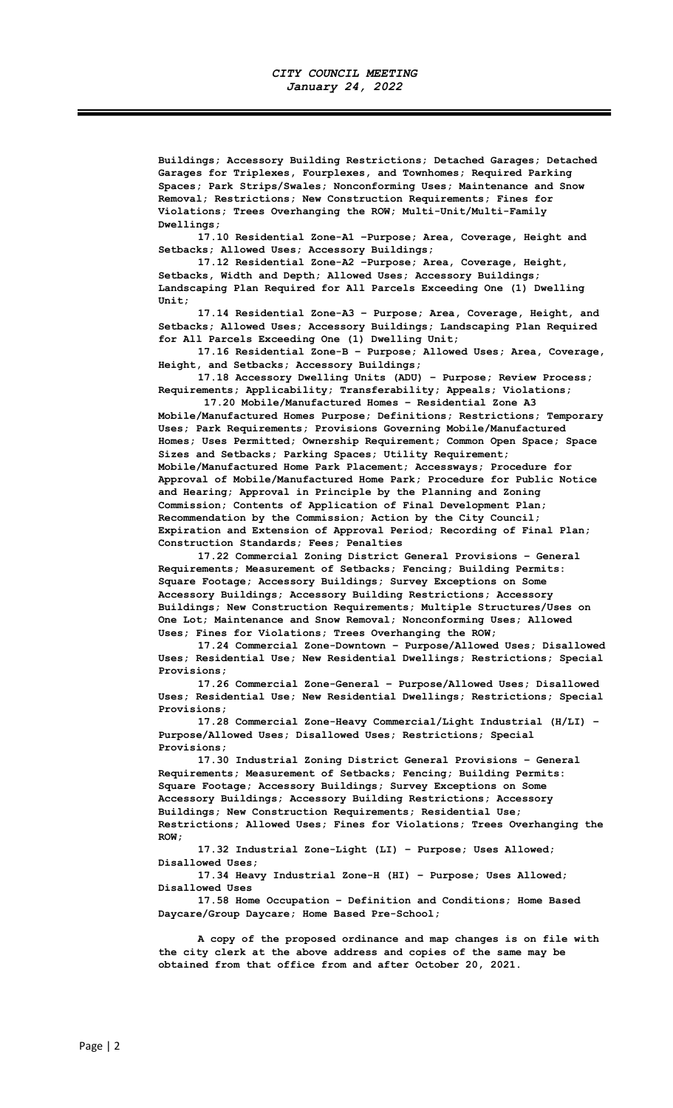Buildings; Accessory Building Restrictions; Detached Garages; Detached Garages for Triplexes, Fourplexes, and Townhomes; Required Parking Spaces; Park Strips/Swales; Nonconforming Uses; Maintenance and Snow Removal; Restrictions; New Construction Requirements; Fines for Violations; Trees Overhanging the ROW; Multi-Unit/Multi-Family Dwellings;

17.10 Residential Zone-A1 –Purpose; Area, Coverage, Height and Setbacks; Allowed Uses; Accessory Buildings;

17.12 Residential Zone-A2 –Purpose; Area, Coverage, Height, Setbacks, Width and Depth; Allowed Uses; Accessory Buildings; Landscaping Plan Required for All Parcels Exceeding One (1) Dwelling Unit;

17.14 Residential Zone-A3 – Purpose; Area, Coverage, Height, and Setbacks; Allowed Uses; Accessory Buildings; Landscaping Plan Required for All Parcels Exceeding One (1) Dwelling Unit;

17.16 Residential Zone-B – Purpose; Allowed Uses; Area, Coverage, Height, and Setbacks; Accessory Buildings;

17.18 Accessory Dwelling Units (ADU) – Purpose; Review Process; Requirements; Applicability; Transferability; Appeals; Violations;

 17.20 Mobile/Manufactured Homes – Residential Zone A3 Mobile/Manufactured Homes Purpose; Definitions; Restrictions; Temporary Uses; Park Requirements; Provisions Governing Mobile/Manufactured Homes; Uses Permitted; Ownership Requirement; Common Open Space; Space Sizes and Setbacks; Parking Spaces; Utility Requirement; Mobile/Manufactured Home Park Placement; Accessways; Procedure for Approval of Mobile/Manufactured Home Park; Procedure for Public Notice and Hearing; Approval in Principle by the Planning and Zoning Commission; Contents of Application of Final Development Plan; Recommendation by the Commission; Action by the City Council; Expiration and Extension of Approval Period; Recording of Final Plan; Construction Standards; Fees; Penalties

17.22 Commercial Zoning District General Provisions – General Requirements; Measurement of Setbacks; Fencing; Building Permits: Square Footage; Accessory Buildings; Survey Exceptions on Some Accessory Buildings; Accessory Building Restrictions; Accessory Buildings; New Construction Requirements; Multiple Structures/Uses on One Lot; Maintenance and Snow Removal; Nonconforming Uses; Allowed Uses; Fines for Violations; Trees Overhanging the ROW;

17.24 Commercial Zone-Downtown – Purpose/Allowed Uses; Disallowed Uses; Residential Use; New Residential Dwellings; Restrictions; Special Provisions;

17.26 Commercial Zone-General – Purpose/Allowed Uses; Disallowed Uses; Residential Use; New Residential Dwellings; Restrictions; Special Provisions;

17.28 Commercial Zone-Heavy Commercial/Light Industrial (H/LI) – Purpose/Allowed Uses; Disallowed Uses; Restrictions; Special Provisions;

17.30 Industrial Zoning District General Provisions – General Requirements; Measurement of Setbacks; Fencing; Building Permits: Square Footage; Accessory Buildings; Survey Exceptions on Some Accessory Buildings; Accessory Building Restrictions; Accessory Buildings; New Construction Requirements; Residential Use; Restrictions; Allowed Uses; Fines for Violations; Trees Overhanging the ROW;

17.32 Industrial Zone-Light (LI) – Purpose; Uses Allowed; Disallowed Uses;

17.34 Heavy Industrial Zone-H (HI) – Purpose; Uses Allowed; Disallowed Uses

17.58 Home Occupation – Definition and Conditions; Home Based Daycare/Group Daycare; Home Based Pre-School;

A copy of the proposed ordinance and map changes is on file with the city clerk at the above address and copies of the same may be obtained from that office from and after October 20, 2021.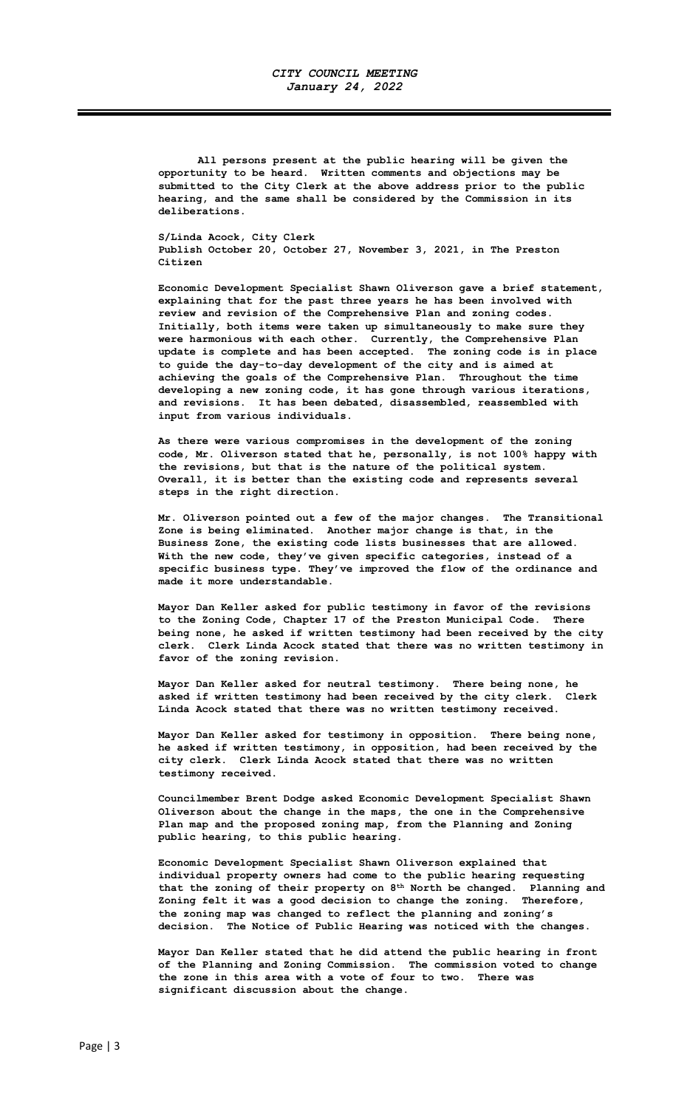All persons present at the public hearing will be given the opportunity to be heard. Written comments and objections may be submitted to the City Clerk at the above address prior to the public hearing, and the same shall be considered by the Commission in its deliberations.

S/Linda Acock, City Clerk Publish October 20, October 27, November 3, 2021, in The Preston Citizen

Economic Development Specialist Shawn Oliverson gave a brief statement, explaining that for the past three years he has been involved with review and revision of the Comprehensive Plan and zoning codes. Initially, both items were taken up simultaneously to make sure they were harmonious with each other. Currently, the Comprehensive Plan update is complete and has been accepted. The zoning code is in place to guide the day-to-day development of the city and is aimed at achieving the goals of the Comprehensive Plan. Throughout the time developing a new zoning code, it has gone through various iterations, and revisions. It has been debated, disassembled, reassembled with input from various individuals.

As there were various compromises in the development of the zoning code, Mr. Oliverson stated that he, personally, is not 100% happy with the revisions, but that is the nature of the political system. Overall, it is better than the existing code and represents several steps in the right direction.

Mr. Oliverson pointed out a few of the major changes. The Transitional Zone is being eliminated. Another major change is that, in the Business Zone, the existing code lists businesses that are allowed. With the new code, they've given specific categories, instead of a specific business type. They've improved the flow of the ordinance and made it more understandable.

Mayor Dan Keller asked for public testimony in favor of the revisions to the Zoning Code, Chapter 17 of the Preston Municipal Code. There being none, he asked if written testimony had been received by the city clerk. Clerk Linda Acock stated that there was no written testimony in favor of the zoning revision.

Mayor Dan Keller asked for neutral testimony. There being none, he asked if written testimony had been received by the city clerk. Clerk Linda Acock stated that there was no written testimony received.

Mayor Dan Keller asked for testimony in opposition. There being none, he asked if written testimony, in opposition, had been received by the city clerk. Clerk Linda Acock stated that there was no written testimony received.

Councilmember Brent Dodge asked Economic Development Specialist Shawn Oliverson about the change in the maps, the one in the Comprehensive Plan map and the proposed zoning map, from the Planning and Zoning public hearing, to this public hearing.

Economic Development Specialist Shawn Oliverson explained that individual property owners had come to the public hearing requesting that the zoning of their property on 8<sup>th</sup> North be changed. Planning and Zoning felt it was a good decision to change the zoning. Therefore, the zoning map was changed to reflect the planning and zoning's decision. The Notice of Public Hearing was noticed with the changes.

Mayor Dan Keller stated that he did attend the public hearing in front of the Planning and Zoning Commission. The commission voted to change the zone in this area with a vote of four to two. There was significant discussion about the change.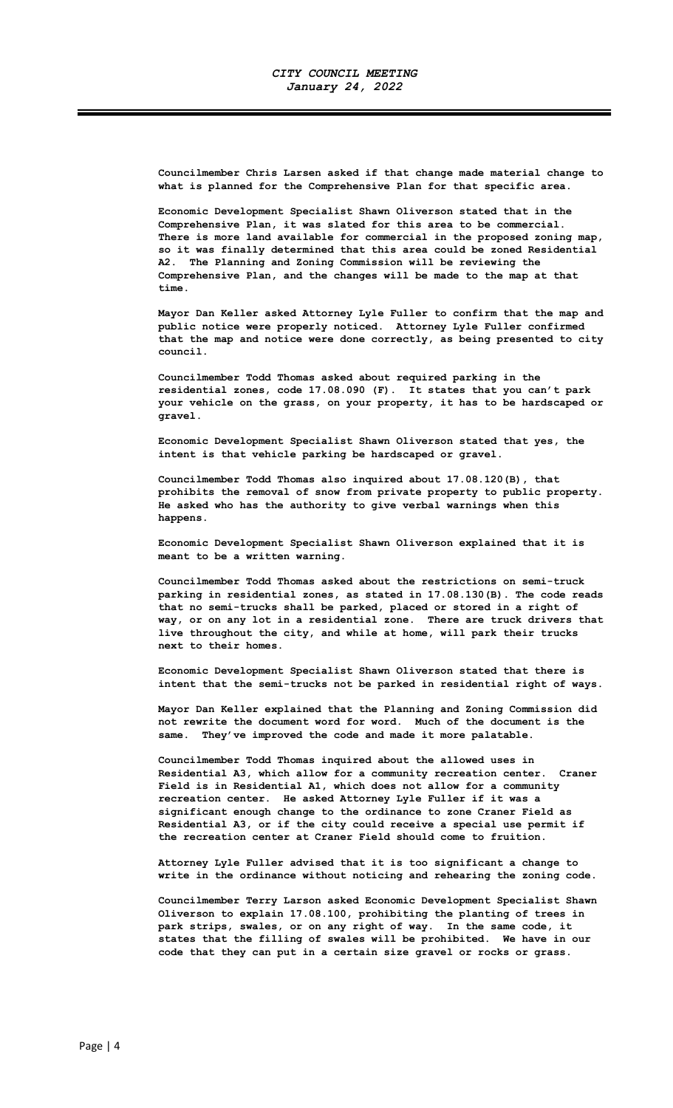Councilmember Chris Larsen asked if that change made material change to what is planned for the Comprehensive Plan for that specific area.

Economic Development Specialist Shawn Oliverson stated that in the Comprehensive Plan, it was slated for this area to be commercial. There is more land available for commercial in the proposed zoning map, so it was finally determined that this area could be zoned Residential A2. The Planning and Zoning Commission will be reviewing the Comprehensive Plan, and the changes will be made to the map at that time.

Mayor Dan Keller asked Attorney Lyle Fuller to confirm that the map and public notice were properly noticed. Attorney Lyle Fuller confirmed that the map and notice were done correctly, as being presented to city council.

Councilmember Todd Thomas asked about required parking in the residential zones, code 17.08.090 (F). It states that you can't park your vehicle on the grass, on your property, it has to be hardscaped or gravel.

Economic Development Specialist Shawn Oliverson stated that yes, the intent is that vehicle parking be hardscaped or gravel.

Councilmember Todd Thomas also inquired about 17.08.120(B), that prohibits the removal of snow from private property to public property. He asked who has the authority to give verbal warnings when this happens.

Economic Development Specialist Shawn Oliverson explained that it is meant to be a written warning.

Councilmember Todd Thomas asked about the restrictions on semi-truck parking in residential zones, as stated in 17.08.130(B). The code reads that no semi-trucks shall be parked, placed or stored in a right of way, or on any lot in a residential zone. There are truck drivers that live throughout the city, and while at home, will park their trucks next to their homes.

Economic Development Specialist Shawn Oliverson stated that there is intent that the semi-trucks not be parked in residential right of ways.

Mayor Dan Keller explained that the Planning and Zoning Commission did not rewrite the document word for word. Much of the document is the same. They've improved the code and made it more palatable.

Councilmember Todd Thomas inquired about the allowed uses in Residential A3, which allow for a community recreation center. Craner Field is in Residential A1, which does not allow for a community recreation center. He asked Attorney Lyle Fuller if it was a significant enough change to the ordinance to zone Craner Field as Residential A3, or if the city could receive a special use permit if the recreation center at Craner Field should come to fruition.

Attorney Lyle Fuller advised that it is too significant a change to write in the ordinance without noticing and rehearing the zoning code.

Councilmember Terry Larson asked Economic Development Specialist Shawn Oliverson to explain 17.08.100, prohibiting the planting of trees in park strips, swales, or on any right of way. In the same code, it states that the filling of swales will be prohibited. We have in our code that they can put in a certain size gravel or rocks or grass.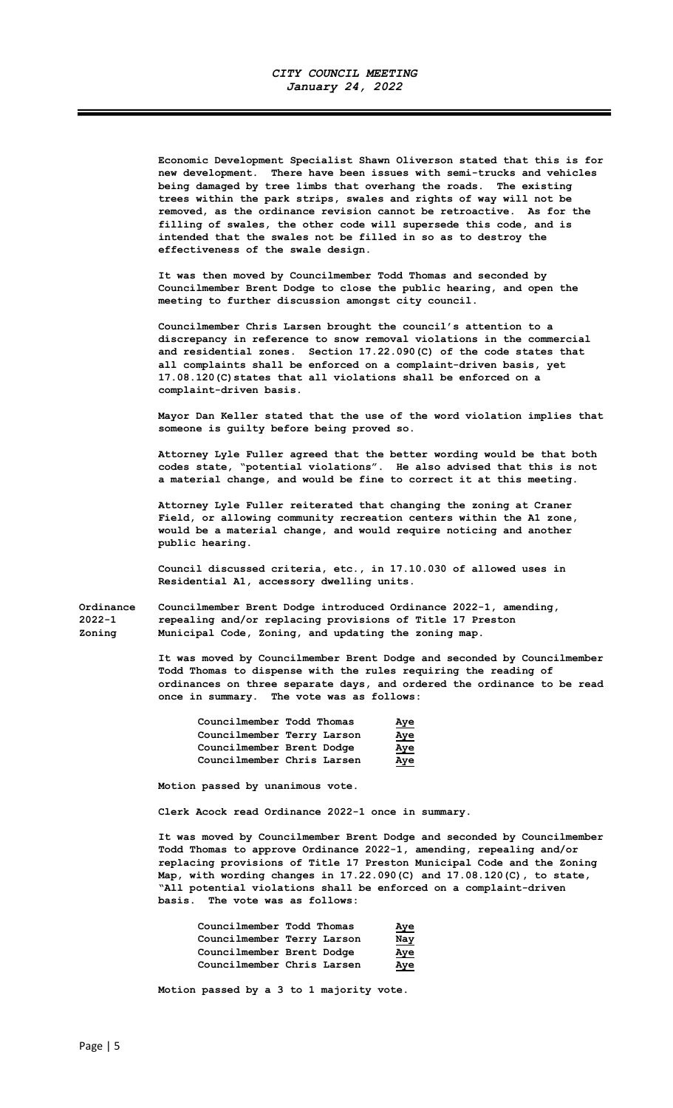Economic Development Specialist Shawn Oliverson stated that this is for new development. There have been issues with semi-trucks and vehicles being damaged by tree limbs that overhang the roads. The existing trees within the park strips, swales and rights of way will not be removed, as the ordinance revision cannot be retroactive. As for the filling of swales, the other code will supersede this code, and is intended that the swales not be filled in so as to destroy the effectiveness of the swale design.

It was then moved by Councilmember Todd Thomas and seconded by Councilmember Brent Dodge to close the public hearing, and open the meeting to further discussion amongst city council.

Councilmember Chris Larsen brought the council's attention to a discrepancy in reference to snow removal violations in the commercial and residential zones. Section 17.22.090(C) of the code states that all complaints shall be enforced on a complaint-driven basis, yet 17.08.120(C)states that all violations shall be enforced on a complaint-driven basis.

Mayor Dan Keller stated that the use of the word violation implies that someone is guilty before being proved so.

Attorney Lyle Fuller agreed that the better wording would be that both codes state, "potential violations". He also advised that this is not a material change, and would be fine to correct it at this meeting.

Attorney Lyle Fuller reiterated that changing the zoning at Craner Field, or allowing community recreation centers within the A1 zone, would be a material change, and would require noticing and another public hearing.

Council discussed criteria, etc., in 17.10.030 of allowed uses in Residential A1, accessory dwelling units.

Ordinance Councilmember Brent Dodge introduced Ordinance 2022-1, amending, 2022-1 repealing and/or replacing provisions of Title 17 Preston Zoning Municipal Code, Zoning, and updating the zoning map.

> It was moved by Councilmember Brent Dodge and seconded by Councilmember Todd Thomas to dispense with the rules requiring the reading of ordinances on three separate days, and ordered the ordinance to be read once in summary. The vote was as follows:

| Councilmember Todd Thomas  |  | Aye        |
|----------------------------|--|------------|
| Councilmember Terry Larson |  | Aye        |
| Councilmember Brent Dodge  |  | <u>Aye</u> |
| Councilmember Chris Larsen |  | Aye        |

Motion passed by unanimous vote.

Clerk Acock read Ordinance 2022-1 once in summary.

It was moved by Councilmember Brent Dodge and seconded by Councilmember Todd Thomas to approve Ordinance 2022-1, amending, repealing and/or replacing provisions of Title 17 Preston Municipal Code and the Zoning Map, with wording changes in 17.22.090(C) and 17.08.120(C), to state, "All potential violations shall be enforced on a complaint-driven basis. The vote was as follows:

| Councilmember Todd Thomas  | Aye        |
|----------------------------|------------|
| Councilmember Terry Larson | <u>Nay</u> |
| Councilmember Brent Dodge  | Aye        |
| Councilmember Chris Larsen | Aye        |

Motion passed by a 3 to 1 majority vote.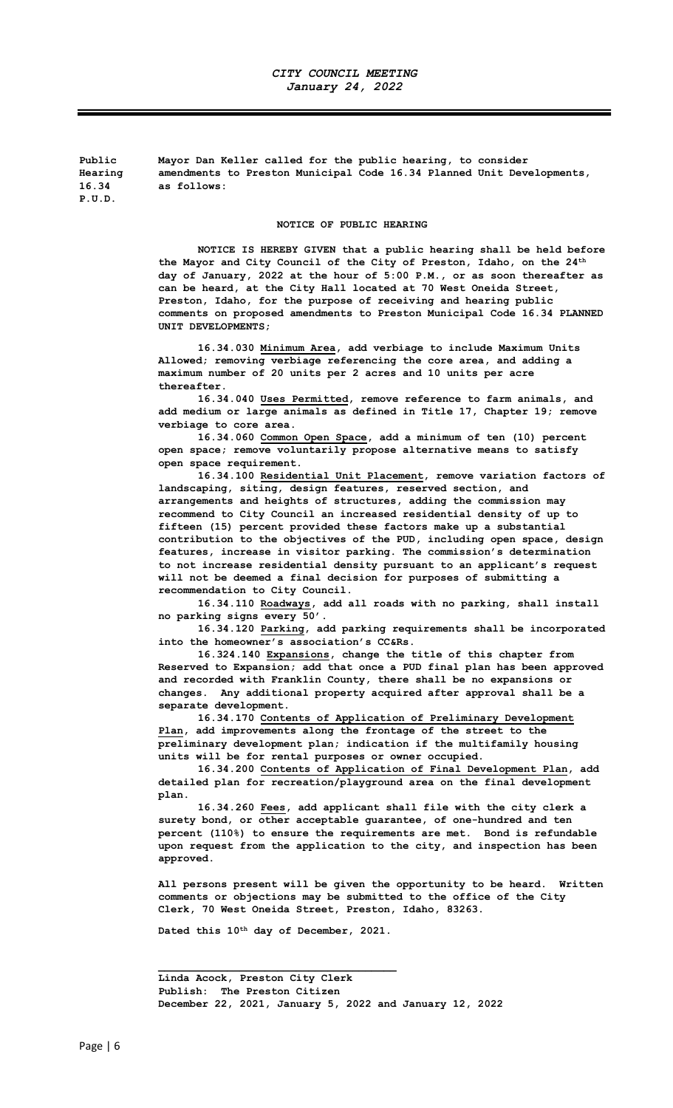Public Mayor Dan Keller called for the public hearing, to consider Hearing amendments to Preston Municipal Code 16.34 Planned Unit Developments, 16.34 as follows: P.U.D.

## NOTICE OF PUBLIC HEARING

NOTICE IS HEREBY GIVEN that a public hearing shall be held before the Mayor and City Council of the City of Preston, Idaho, on the  $24<sup>th</sup>$ day of January, 2022 at the hour of 5:00 P.M., or as soon thereafter as can be heard, at the City Hall located at 70 West Oneida Street, Preston, Idaho, for the purpose of receiving and hearing public comments on proposed amendments to Preston Municipal Code 16.34 PLANNED UNIT DEVELOPMENTS;

16.34.030 Minimum Area, add verbiage to include Maximum Units Allowed; removing verbiage referencing the core area, and adding a maximum number of 20 units per 2 acres and 10 units per acre thereafter.

16.34.040 Uses Permitted, remove reference to farm animals, and add medium or large animals as defined in Title 17, Chapter 19; remove verbiage to core area.

16.34.060 Common Open Space, add a minimum of ten (10) percent open space; remove voluntarily propose alternative means to satisfy open space requirement.

16.34.100 Residential Unit Placement, remove variation factors of landscaping, siting, design features, reserved section, and arrangements and heights of structures, adding the commission may recommend to City Council an increased residential density of up to fifteen (15) percent provided these factors make up a substantial contribution to the objectives of the PUD, including open space, design features, increase in visitor parking. The commission's determination to not increase residential density pursuant to an applicant's request will not be deemed a final decision for purposes of submitting a recommendation to City Council.

16.34.110 Roadways, add all roads with no parking, shall install no parking signs every 50'.

16.34.120 Parking, add parking requirements shall be incorporated into the homeowner's association's CC&Rs.

16.324.140 Expansions, change the title of this chapter from Reserved to Expansion; add that once a PUD final plan has been approved and recorded with Franklin County, there shall be no expansions or changes. Any additional property acquired after approval shall be a separate development.

16.34.170 Contents of Application of Preliminary Development Plan, add improvements along the frontage of the street to the preliminary development plan; indication if the multifamily housing units will be for rental purposes or owner occupied.

16.34.200 Contents of Application of Final Development Plan, add detailed plan for recreation/playground area on the final development plan.

16.34.260 Fees, add applicant shall file with the city clerk a surety bond, or other acceptable guarantee, of one-hundred and ten percent (110%) to ensure the requirements are met. Bond is refundable upon request from the application to the city, and inspection has been approved.

All persons present will be given the opportunity to be heard. Written comments or objections may be submitted to the office of the City Clerk, 70 West Oneida Street, Preston, Idaho, 83263.

Dated this 10<sup>th</sup> day of December, 2021.

 $\mathcal{L}_\text{max}$  , and the set of the set of the set of the set of the set of the set of the set of the set of the set of the set of the set of the set of the set of the set of the set of the set of the set of the set of the

Linda Acock, Preston City Clerk Publish: The Preston Citizen December 22, 2021, January 5, 2022 and January 12, 2022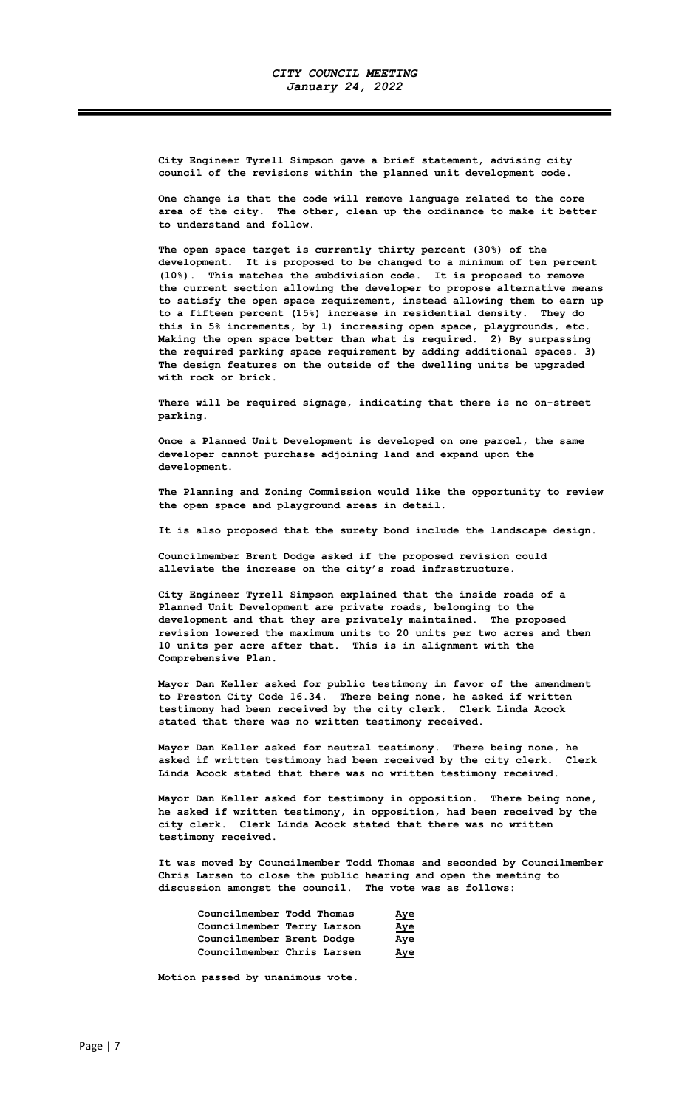City Engineer Tyrell Simpson gave a brief statement, advising city council of the revisions within the planned unit development code.

One change is that the code will remove language related to the core area of the city. The other, clean up the ordinance to make it better to understand and follow.

The open space target is currently thirty percent (30%) of the development. It is proposed to be changed to a minimum of ten percent (10%). This matches the subdivision code. It is proposed to remove the current section allowing the developer to propose alternative means to satisfy the open space requirement, instead allowing them to earn up to a fifteen percent (15%) increase in residential density. They do this in 5% increments, by 1) increasing open space, playgrounds, etc. Making the open space better than what is required. 2) By surpassing the required parking space requirement by adding additional spaces. 3) The design features on the outside of the dwelling units be upgraded with rock or brick.

There will be required signage, indicating that there is no on-street parking.

Once a Planned Unit Development is developed on one parcel, the same developer cannot purchase adjoining land and expand upon the development.

The Planning and Zoning Commission would like the opportunity to review the open space and playground areas in detail.

It is also proposed that the surety bond include the landscape design.

Councilmember Brent Dodge asked if the proposed revision could alleviate the increase on the city's road infrastructure.

City Engineer Tyrell Simpson explained that the inside roads of a Planned Unit Development are private roads, belonging to the development and that they are privately maintained. The proposed revision lowered the maximum units to 20 units per two acres and then 10 units per acre after that. This is in alignment with the Comprehensive Plan.

Mayor Dan Keller asked for public testimony in favor of the amendment to Preston City Code 16.34. There being none, he asked if written testimony had been received by the city clerk. Clerk Linda Acock stated that there was no written testimony received.

Mayor Dan Keller asked for neutral testimony. There being none, he asked if written testimony had been received by the city clerk. Clerk Linda Acock stated that there was no written testimony received.

Mayor Dan Keller asked for testimony in opposition. There being none, he asked if written testimony, in opposition, had been received by the city clerk. Clerk Linda Acock stated that there was no written testimony received.

It was moved by Councilmember Todd Thomas and seconded by Councilmember Chris Larsen to close the public hearing and open the meeting to discussion amongst the council. The vote was as follows:

| Councilmember Todd Thomas  | <u>Aye</u> |
|----------------------------|------------|
| Councilmember Terry Larson | Aye        |
| Councilmember Brent Dodge  | Aye        |
| Councilmember Chris Larsen | Aye        |

Motion passed by unanimous vote.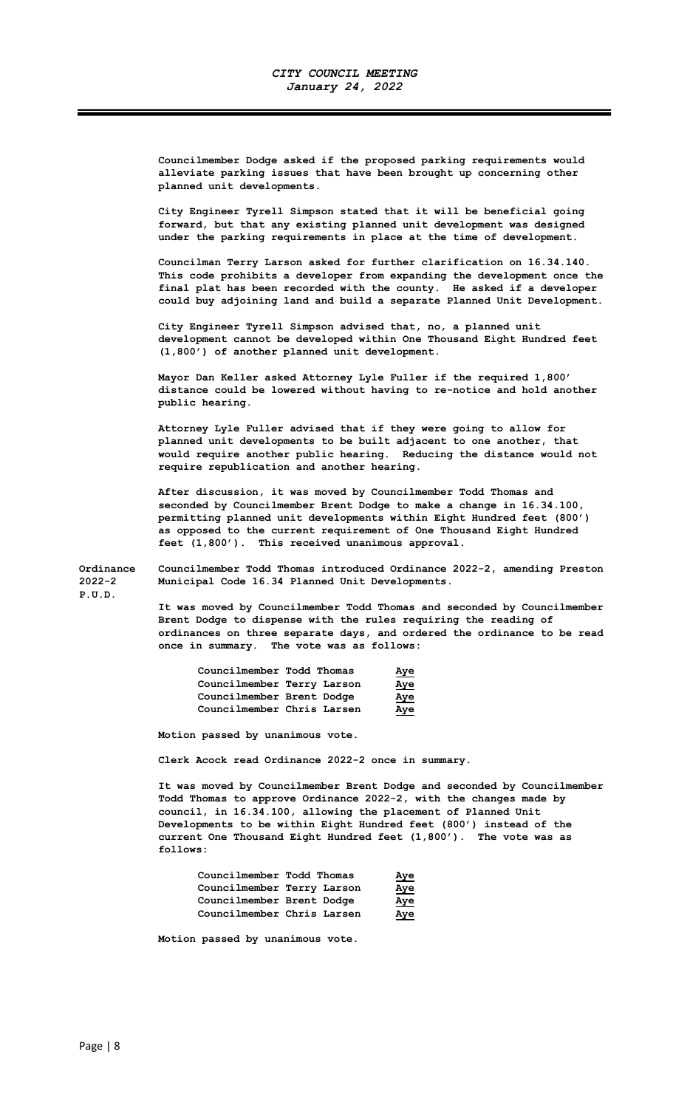Councilmember Dodge asked if the proposed parking requirements would alleviate parking issues that have been brought up concerning other planned unit developments.

City Engineer Tyrell Simpson stated that it will be beneficial going forward, but that any existing planned unit development was designed under the parking requirements in place at the time of development.

Councilman Terry Larson asked for further clarification on 16.34.140. This code prohibits a developer from expanding the development once the final plat has been recorded with the county. He asked if a developer could buy adjoining land and build a separate Planned Unit Development.

City Engineer Tyrell Simpson advised that, no, a planned unit development cannot be developed within One Thousand Eight Hundred feet (1,800') of another planned unit development.

Mayor Dan Keller asked Attorney Lyle Fuller if the required 1,800' distance could be lowered without having to re-notice and hold another public hearing.

Attorney Lyle Fuller advised that if they were going to allow for planned unit developments to be built adjacent to one another, that would require another public hearing. Reducing the distance would not require republication and another hearing.

After discussion, it was moved by Councilmember Todd Thomas and seconded by Councilmember Brent Dodge to make a change in 16.34.100, permitting planned unit developments within Eight Hundred feet (800') as opposed to the current requirement of One Thousand Eight Hundred feet (1,800'). This received unanimous approval.

Ordinance Councilmember Todd Thomas introduced Ordinance 2022-2, amending Preston 2022-2 Municipal Code 16.34 Planned Unit Developments.

P.U.D.

It was moved by Councilmember Todd Thomas and seconded by Councilmember Brent Dodge to dispense with the rules requiring the reading of ordinances on three separate days, and ordered the ordinance to be read once in summary. The vote was as follows:

| Councilmember Todd Thomas  |  | Aye        |
|----------------------------|--|------------|
| Councilmember Terry Larson |  | <u>Aye</u> |
| Councilmember Brent Dodge  |  | Aye        |
| Councilmember Chris Larsen |  | Aye        |

Motion passed by unanimous vote.

Clerk Acock read Ordinance 2022-2 once in summary.

It was moved by Councilmember Brent Dodge and seconded by Councilmember Todd Thomas to approve Ordinance 2022-2, with the changes made by council, in 16.34.100, allowing the placement of Planned Unit Developments to be within Eight Hundred feet (800') instead of the current One Thousand Eight Hundred feet (1,800'). The vote was as follows:

| Councilmember Todd Thomas  |  | Aye        |
|----------------------------|--|------------|
| Councilmember Terry Larson |  | <u>Aye</u> |
| Councilmember Brent Dodge  |  | <u>Aye</u> |
| Councilmember Chris Larsen |  | Aye        |

Motion passed by unanimous vote.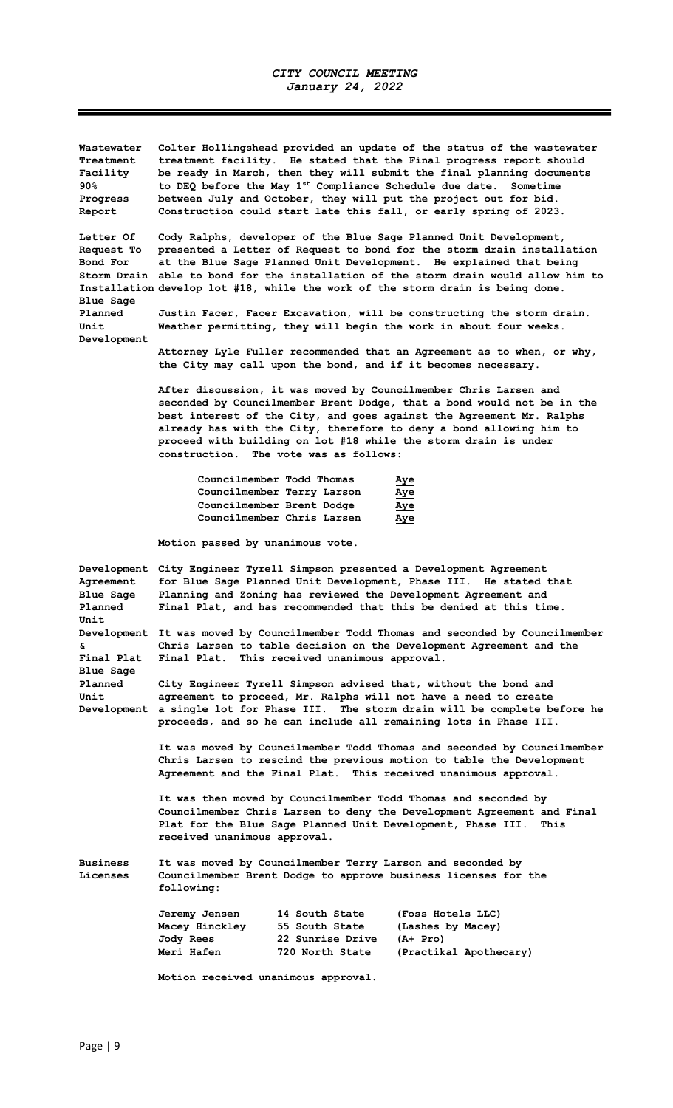| Wastewater | Colter Hollingshead provided an update of the status of the wastewater       |
|------------|------------------------------------------------------------------------------|
| Treatment  | treatment facility. He stated that the Final progress report should          |
| Facility   | be ready in March, then they will submit the final planning documents        |
| 90 %       | to DEO before the May 1 <sup>st</sup> Compliance Schedule due date. Sometime |
| Progress   | between July and October, they will put the project out for bid.             |
| Report     | Construction could start late this fall, or early spring of 2023.            |

Letter Of Cody Ralphs, developer of the Blue Sage Planned Unit Development, Request To presented a Letter of Request to bond for the storm drain installation Bond For at the Blue Sage Planned Unit Development. He explained that being Storm Drain able to bond for the installation of the storm drain would allow him to Installation develop lot #18, while the work of the storm drain is being done. Blue Sage

Planned Justin Facer, Facer Excavation, will be constructing the storm drain. Unit Weather permitting, they will begin the work in about four weeks. Development

Attorney Lyle Fuller recommended that an Agreement as to when, or why, the City may call upon the bond, and if it becomes necessary.

After discussion, it was moved by Councilmember Chris Larsen and seconded by Councilmember Brent Dodge, that a bond would not be in the best interest of the City, and goes against the Agreement Mr. Ralphs already has with the City, therefore to deny a bond allowing him to proceed with building on lot #18 while the storm drain is under construction. The vote was as follows:

| Councilmember Todd Thomas  | Aye        |
|----------------------------|------------|
| Councilmember Terry Larson | <u>Aye</u> |
| Councilmember Brent Dodge  | Aye        |
| Councilmember Chris Larsen | Aye        |

Motion passed by unanimous vote.

| Development     |                                                                                                                              |                                               | City Engineer Tyrell Simpson presented a Development Agreement                      |
|-----------------|------------------------------------------------------------------------------------------------------------------------------|-----------------------------------------------|-------------------------------------------------------------------------------------|
| Agreement       |                                                                                                                              |                                               | for Blue Sage Planned Unit Development, Phase III. He stated that                   |
| Blue Saqe       |                                                                                                                              |                                               | Planning and Zoning has reviewed the Development Agreement and                      |
| Planned         |                                                                                                                              |                                               | Final Plat, and has recommended that this be denied at this time.                   |
| Unit            |                                                                                                                              |                                               |                                                                                     |
|                 |                                                                                                                              |                                               | Development It was moved by Councilmember Todd Thomas and seconded by Councilmember |
| s.              |                                                                                                                              |                                               | Chris Larsen to table decision on the Development Agreement and the                 |
| Final Plat      |                                                                                                                              | Final Plat. This received unanimous approval. |                                                                                     |
| Blue Sage       |                                                                                                                              |                                               |                                                                                     |
| Planned         |                                                                                                                              |                                               | City Engineer Tyrell Simpson advised that, without the bond and                     |
| Unit            |                                                                                                                              |                                               | agreement to proceed, Mr. Ralphs will not have a need to create                     |
|                 | Development a single lot for Phase III. The storm drain will be complete before he                                           |                                               |                                                                                     |
|                 |                                                                                                                              |                                               | proceeds, and so he can include all remaining lots in Phase III.                    |
|                 |                                                                                                                              |                                               |                                                                                     |
|                 | It was moved by Councilmember Todd Thomas and seconded by Councilmember                                                      |                                               |                                                                                     |
|                 |                                                                                                                              |                                               | Chris Larsen to rescind the previous motion to table the Development                |
|                 |                                                                                                                              |                                               | Agreement and the Final Plat. This received unanimous approval.                     |
|                 |                                                                                                                              |                                               |                                                                                     |
|                 | It was then moved by Councilmember Todd Thomas and seconded by                                                               |                                               |                                                                                     |
|                 | Councilmember Chris Larsen to deny the Development Agreement and Final                                                       |                                               |                                                                                     |
|                 | Plat for the Blue Sage Planned Unit Development, Phase III.<br>This<br>received unanimous approval.                          |                                               |                                                                                     |
|                 |                                                                                                                              |                                               |                                                                                     |
| <b>Business</b> |                                                                                                                              |                                               |                                                                                     |
| Licenses        | It was moved by Councilmember Terry Larson and seconded by<br>Councilmember Brent Dodge to approve business licenses for the |                                               |                                                                                     |
|                 | following:                                                                                                                   |                                               |                                                                                     |
|                 |                                                                                                                              |                                               |                                                                                     |
|                 | Jeremy Jensen                                                                                                                | 14 South State                                | (Foss Hotels LLC)                                                                   |
|                 | Macey Hinckley                                                                                                               | 55 South State                                | (Lashes by Macey)                                                                   |
|                 | Jody Rees                                                                                                                    | 22 Sunrise Drive                              | $(A+ Pro)$                                                                          |
|                 | Meri Hafen                                                                                                                   | 720 North State                               | (Practikal Apothecary)                                                              |
|                 | Motion received unanimous approval.                                                                                          |                                               |                                                                                     |
|                 |                                                                                                                              |                                               |                                                                                     |